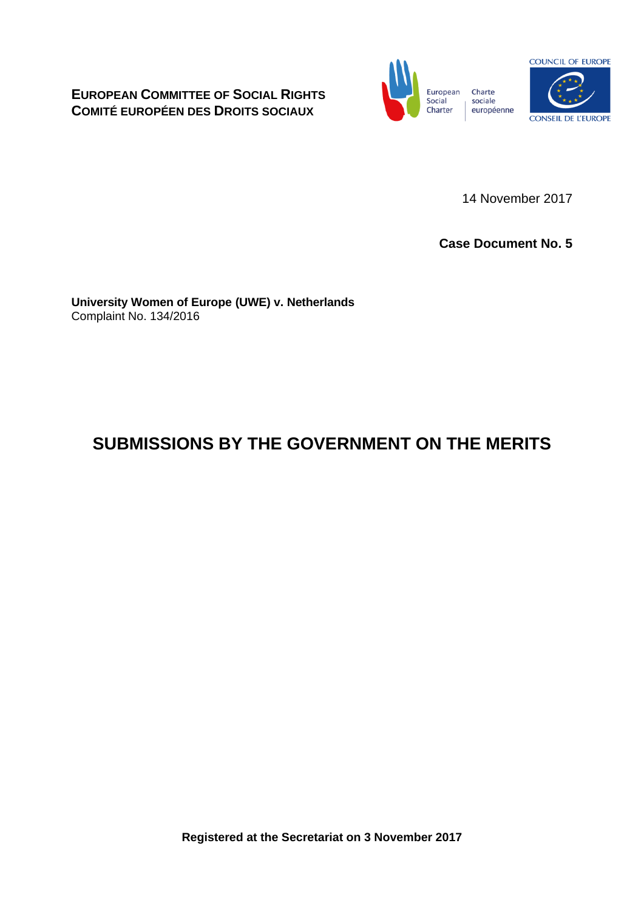**EUROPEAN COMMITTEE OF SOCIAL RIGHTS COMITÉ EUROPÉEN DES DROITS SOCIAUX**



14 November 2017

**Case Document No. 5**

**University Women of Europe (UWE) v. Netherlands** Complaint No. 134/2016

# **SUBMISSIONS BY THE GOVERNMENT ON THE MERITS**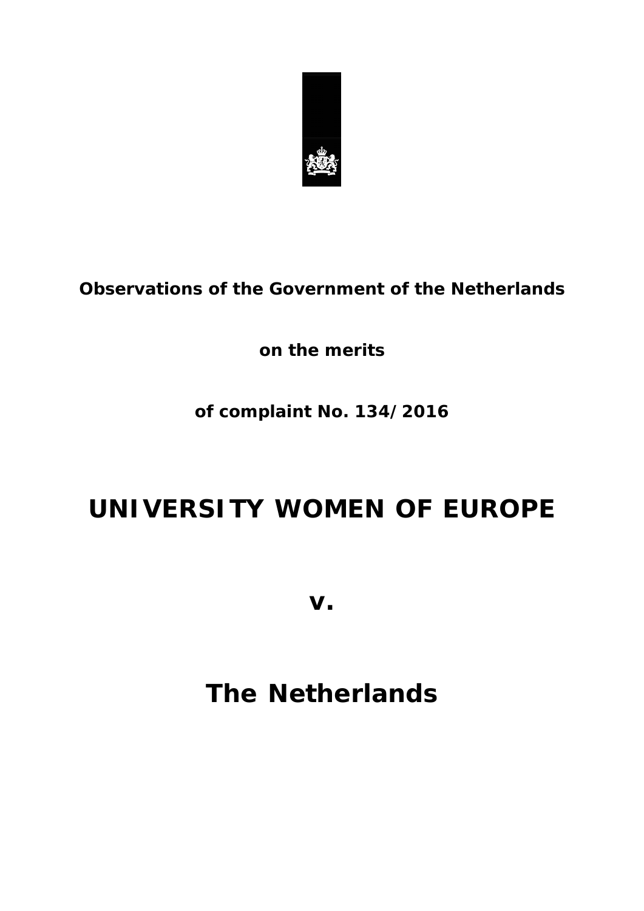

**Observations of the Government of the Netherlands** 

**on the merits**

# **of complaint No. 134/2016**

# **UNIVERSITY WOMEN OF EUROPE**

**v.**

# **The Netherlands**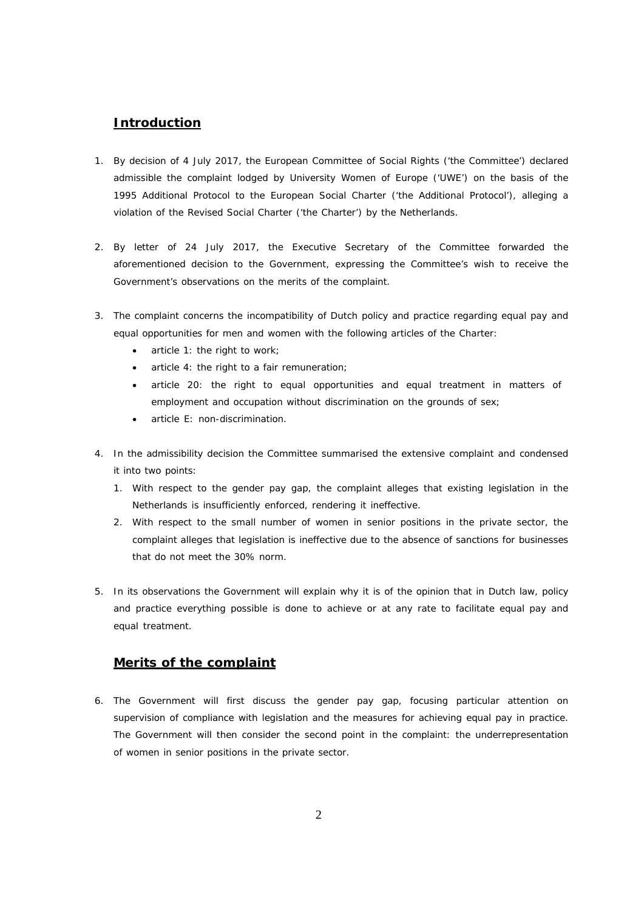# **Introduction**

- 1. By decision of 4 July 2017, the European Committee of Social Rights ('the Committee') declared admissible the complaint lodged by University Women of Europe ('UWE') on the basis of the 1995 Additional Protocol to the European Social Charter ('the Additional Protocol'), alleging a violation of the Revised Social Charter ('the Charter') by the Netherlands.
- 2. By letter of 24 July 2017, the Executive Secretary of the Committee forwarded the aforementioned decision to the Government, expressing the Committee's wish to receive the Government's observations on the merits of the complaint.
- 3. The complaint concerns the incompatibility of Dutch policy and practice regarding equal pay and equal opportunities for men and women with the following articles of the Charter:
	- article 1: the right to work;
	- article 4: the right to a fair remuneration;
	- article 20: the right to equal opportunities and equal treatment in matters of employment and occupation without discrimination on the grounds of sex;
	- article E: non-discrimination.
- 4. In the admissibility decision the Committee summarised the extensive complaint and condensed it into two points:
	- 1. With respect to the gender pay gap, the complaint alleges that existing legislation in the Netherlands is insufficiently enforced, rendering it ineffective.
	- 2. With respect to the small number of women in senior positions in the private sector, the complaint alleges that legislation is ineffective due to the absence of sanctions for businesses that do not meet the 30% norm.
- 5. In its observations the Government will explain why it is of the opinion that in Dutch law, policy and practice everything possible is done to achieve or at any rate to facilitate equal pay and equal treatment.

# **Merits of the complaint**

6. The Government will first discuss the gender pay gap, focusing particular attention on supervision of compliance with legislation and the measures for achieving equal pay in practice. The Government will then consider the second point in the complaint: the underrepresentation of women in senior positions in the private sector.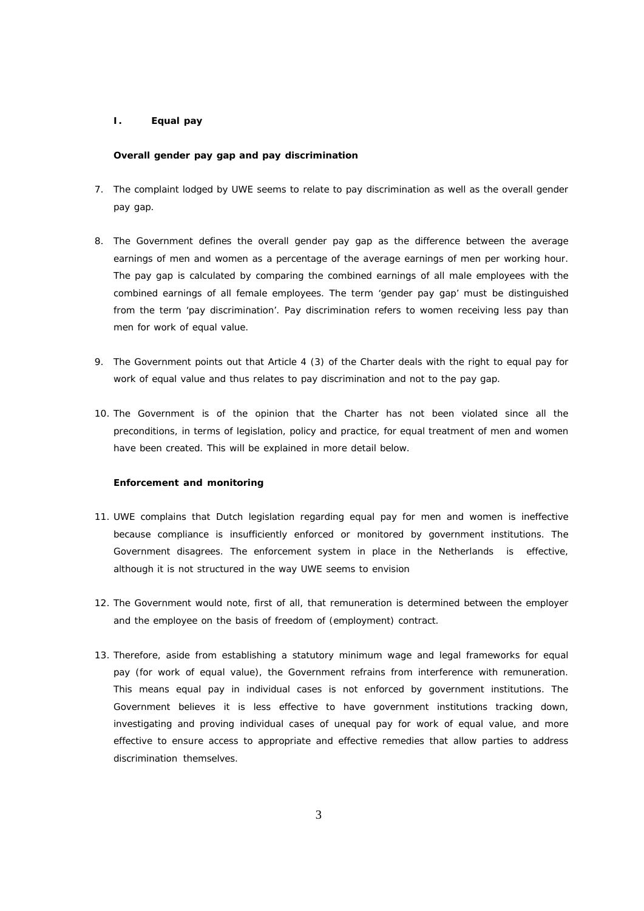## *I. Equal pay*

#### *Overall gender pay gap and pay discrimination*

- 7. The complaint lodged by UWE seems to relate to pay discrimination as well as the overall gender pay gap.
- 8. The Government defines the overall gender pay gap as the difference between the average earnings of men and women as a percentage of the average earnings of men per working hour. The pay gap is calculated by comparing the combined earnings of all male employees with the combined earnings of all female employees. The term 'gender pay gap' must be distinguished from the term 'pay discrimination'. Pay discrimination refers to women receiving less pay than men for work of equal value.
- 9. The Government points out that Article 4 (3) of the Charter deals with the right to equal pay for work of equal value and thus relates to pay discrimination and not to the pay gap.
- 10. The Government is of the opinion that the Charter has not been violated since all the preconditions, in terms of legislation, policy and practice, for equal treatment of men and women have been created. This will be explained in more detail below.

#### *Enforcement and monitoring*

- 11. UWE complains that Dutch legislation regarding equal pay for men and women is ineffective because compliance is insufficiently enforced or monitored by government institutions. The Government disagrees. The enforcement system in place in the Netherlands is effective, although it is not structured in the way UWE seems to envision
- 12. The Government would note, first of all, that remuneration is determined between the employer and the employee on the basis of freedom of (employment) contract.
- 13. Therefore, aside from establishing a statutory minimum wage and legal frameworks for equal pay (for work of equal value), the Government refrains from interference with remuneration. This means equal pay in individual cases is not enforced by government institutions. The Government believes it is less effective to have government institutions tracking down, investigating and proving individual cases of unequal pay for work of equal value, and more effective to ensure access to appropriate and effective remedies that allow parties to address discrimination themselves.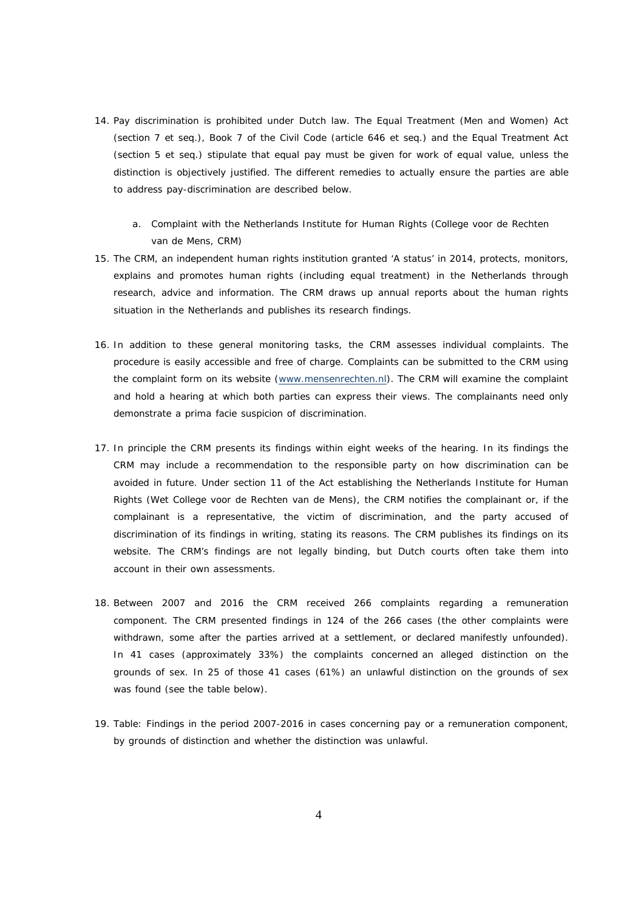- 14. Pay discrimination is prohibited under Dutch law. The Equal Treatment (Men and Women) Act (section 7 et seq.), Book 7 of the Civil Code (article 646 et seq.) and the Equal Treatment Act (section 5 et seq.) stipulate that equal pay must be given for work of equal value, unless the distinction is objectively justified. The different remedies to actually ensure the parties are able to address pay-discrimination are described below.
	- a. Complaint with the Netherlands Institute for Human Rights (*College voor de Rechten van de Mens*, CRM)
- 15. The CRM, an independent human rights institution granted 'A status' in 2014, protects, monitors, explains and promotes human rights (including equal treatment) in the Netherlands through research, advice and information. The CRM draws up annual reports about the human rights situation in the Netherlands and publishes its research findings.
- 16. In addition to these general monitoring tasks, the CRM assesses individual complaints. The procedure is easily accessible and free of charge. Complaints can be submitted to the CRM using the complaint form on its website (www.mensenrechten.nl). The CRM will examine the complaint and hold a hearing at which both parties can express their views. The complainants need only demonstrate a prima facie suspicion of discrimination.
- 17. In principle the CRM presents its findings within eight weeks of the hearing. In its findings the CRM may include a recommendation to the responsible party on how discrimination can be avoided in future. Under section 11 of the Act establishing the Netherlands Institute for Human Rights (*Wet College voor de Rechten van de Mens*), the CRM notifies the complainant or, if the complainant is a representative, the victim of discrimination, and the party accused of discrimination of its findings in writing, stating its reasons. The CRM publishes its findings on its website. The CRM's findings are not legally binding, but Dutch courts often take them into account in their own assessments.
- 18. Between 2007 and 2016 the CRM received 266 complaints regarding a remuneration component. The CRM presented findings in 124 of the 266 cases (the other complaints were withdrawn, some after the parties arrived at a settlement, or declared manifestly unfounded). In 41 cases (approximately 33%) the complaints concerned an alleged distinction on the grounds of sex. In 25 of those 41 cases (61%) an unlawful distinction on the grounds of sex was found (see the table below).
- 19. Table: Findings in the period 2007-2016 in cases concerning pay or a remuneration component, by grounds of distinction and whether the distinction was unlawful.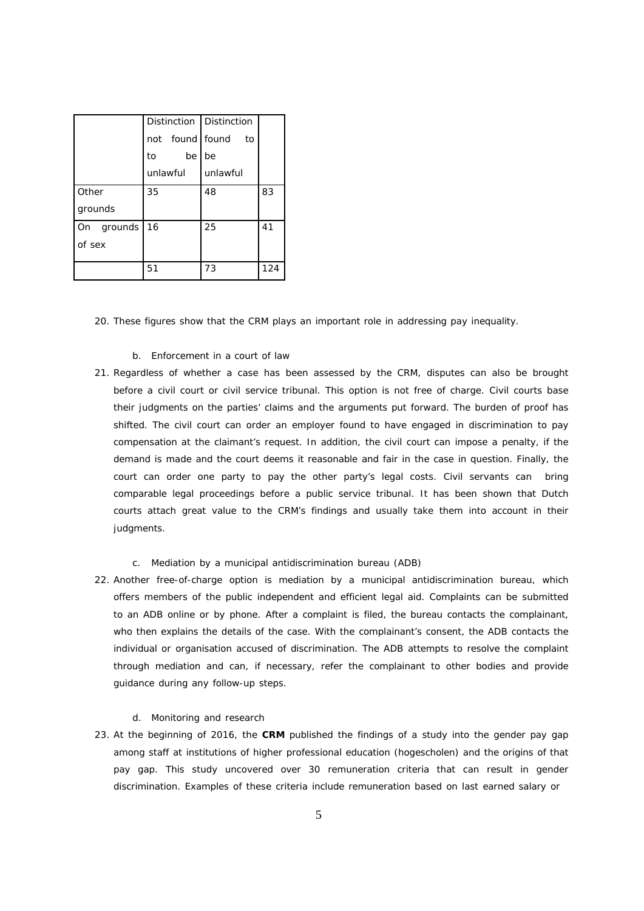|            | Distinction Distinction |    |                 |    |     |
|------------|-------------------------|----|-----------------|----|-----|
|            |                         |    | not found found | to |     |
|            | to                      | be | be              |    |     |
|            | unlawful                |    | unlawful        |    |     |
| Other      | 35                      |    | 48              |    | 83  |
| grounds    |                         |    |                 |    |     |
| On grounds | 16                      |    | 25              |    | 41  |
| of sex     |                         |    |                 |    |     |
|            |                         |    |                 |    |     |
|            | 51                      |    | 73              |    | 124 |

- 20. These figures show that the CRM plays an important role in addressing pay inequality.
	- b. Enforcement in a court of law
- 21. Regardless of whether a case has been assessed by the CRM, disputes can also be brought before a civil court or civil service tribunal. This option is not free of charge. Civil courts base their judgments on the parties' claims and the arguments put forward. The burden of proof has shifted. The civil court can order an employer found to have engaged in discrimination to pay compensation at the claimant's request. In addition, the civil court can impose a penalty, if the demand is made and the court deems it reasonable and fair in the case in question. Finally, the court can order one party to pay the other party's legal costs. Civil servants can bring comparable legal proceedings before a public service tribunal. It has been shown that Dutch courts attach great value to the CRM's findings and usually take them into account in their judgments.
	- c. Mediation by a municipal antidiscrimination bureau (ADB)
- 22. Another free-of-charge option is mediation by a municipal antidiscrimination bureau, which offers members of the public independent and efficient legal aid. Complaints can be submitted to an ADB online or by phone. After a complaint is filed, the bureau contacts the complainant, who then explains the details of the case. With the complainant's consent, the ADB contacts the individual or organisation accused of discrimination. The ADB attempts to resolve the complaint through mediation and can, if necessary, refer the complainant to other bodies and provide guidance during any follow-up steps.
	- d. Monitoring and research
- 23. At the beginning of 2016, the **CRM** published the findings of a study into the gender pay gap among staff at institutions of higher professional education (*hogescholen*) and the origins of that pay gap. This study uncovered over 30 remuneration criteria that can result in gender discrimination. Examples of these criteria include remuneration based on last earned salary or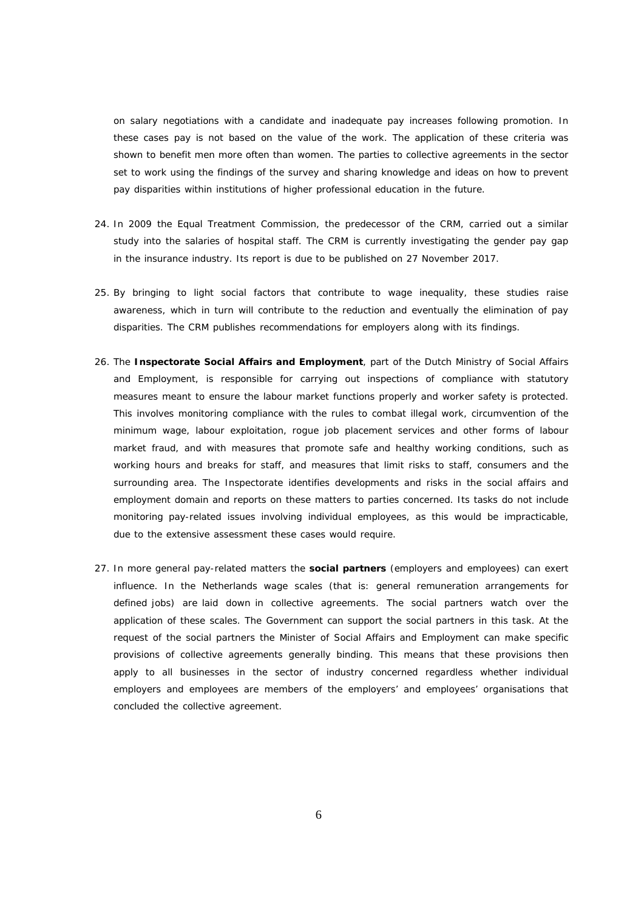on salary negotiations with a candidate and inadequate pay increases following promotion. In these cases pay is not based on the value of the work. The application of these criteria was shown to benefit men more often than women. The parties to collective agreements in the sector set to work using the findings of the survey and sharing knowledge and ideas on how to prevent pay disparities within institutions of higher professional education in the future.

- 24. In 2009 the Equal Treatment Commission, the predecessor of the CRM, carried out a similar study into the salaries of hospital staff. The CRM is currently investigating the gender pay gap in the insurance industry. Its report is due to be published on 27 November 2017.
- 25. By bringing to light social factors that contribute to wage inequality, these studies raise awareness, which in turn will contribute to the reduction and eventually the elimination of pay disparities. The CRM publishes recommendations for employers along with its findings.
- 26. The **Inspectorate Social Affairs and Employment**, part of the Dutch Ministry of Social Affairs and Employment, is responsible for carrying out inspections of compliance with statutory measures meant to ensure the labour market functions properly and worker safety is protected. This involves monitoring compliance with the rules to combat illegal work, circumvention of the minimum wage, labour exploitation, rogue job placement services and other forms of labour market fraud, and with measures that promote safe and healthy working conditions, such as working hours and breaks for staff, and measures that limit risks to staff, consumers and the surrounding area. The Inspectorate identifies developments and risks in the social affairs and employment domain and reports on these matters to parties concerned. Its tasks do not include monitoring pay-related issues involving individual employees, as this would be impracticable, due to the extensive assessment these cases would require.
- 27. In more general pay-related matters the **social partners** (employers and employees) can exert influence. In the Netherlands wage scales (that is: general remuneration arrangements for defined jobs) are laid down in collective agreements. The social partners watch over the application of these scales. The Government can support the social partners in this task. At the request of the social partners the Minister of Social Affairs and Employment can make specific provisions of collective agreements generally binding. This means that these provisions then apply to all businesses in the sector of industry concerned regardless whether individual employers and employees are members of the employers' and employees' organisations that concluded the collective agreement.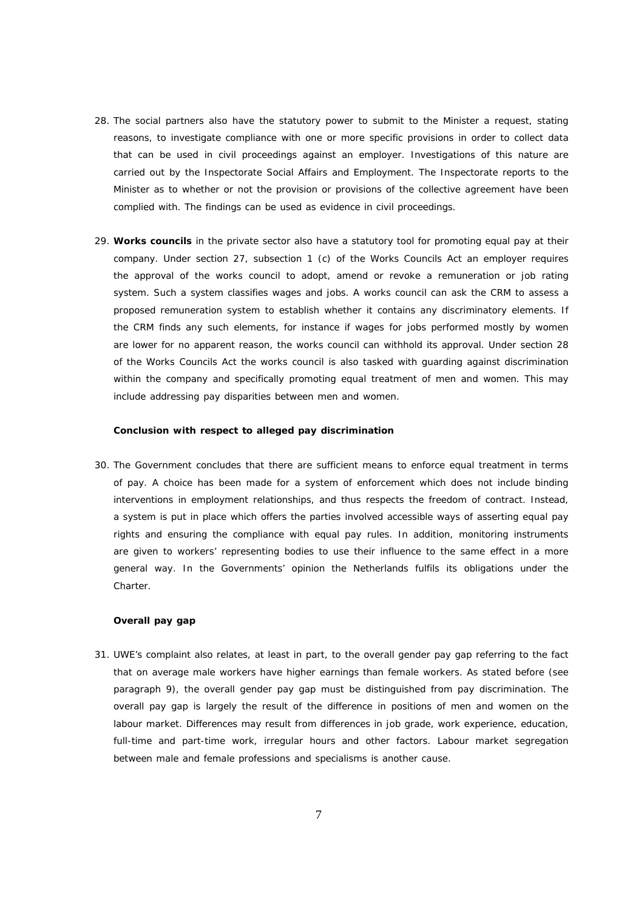- 28. The social partners also have the statutory power to submit to the Minister a request, stating reasons, to investigate compliance with one or more specific provisions in order to collect data that can be used in civil proceedings against an employer. Investigations of this nature are carried out by the Inspectorate Social Affairs and Employment. The Inspectorate reports to the Minister as to whether or not the provision or provisions of the collective agreement have been complied with. The findings can be used as evidence in civil proceedings.
- 29. **Works councils** in the private sector also have a statutory tool for promoting equal pay at their company. Under section 27, subsection 1 (c) of the Works Councils Act an employer requires the approval of the works council to adopt, amend or revoke a remuneration or job rating system. Such a system classifies wages and jobs. A works council can ask the CRM to assess a proposed remuneration system to establish whether it contains any discriminatory elements. If the CRM finds any such elements, for instance if wages for jobs performed mostly by women are lower for no apparent reason, the works council can withhold its approval. Under section 28 of the Works Councils Act the works council is also tasked with guarding against discrimination within the company and specifically promoting equal treatment of men and women. This may include addressing pay disparities between men and women.

#### *Conclusion with respect to alleged pay discrimination*

30. The Government concludes that there are sufficient means to enforce equal treatment in terms of pay. A choice has been made for a system of enforcement which does not include binding interventions in employment relationships, and thus respects the freedom of contract. Instead, a system is put in place which offers the parties involved accessible ways of asserting equal pay rights and ensuring the compliance with equal pay rules. In addition, monitoring instruments are given to workers' representing bodies to use their influence to the same effect in a more general way. In the Governments' opinion the Netherlands fulfils its obligations under the Charter.

# *Overall pay gap*

31. UWE's complaint also relates, at least in part, to the overall gender pay gap referring to the fact that on average male workers have higher earnings than female workers. As stated before (see paragraph 9), the overall gender pay gap must be distinguished from pay discrimination. The overall pay gap is largely the result of the difference in positions of men and women on the labour market. Differences may result from differences in job grade, work experience, education, full-time and part-time work, irregular hours and other factors. Labour market segregation between male and female professions and specialisms is another cause.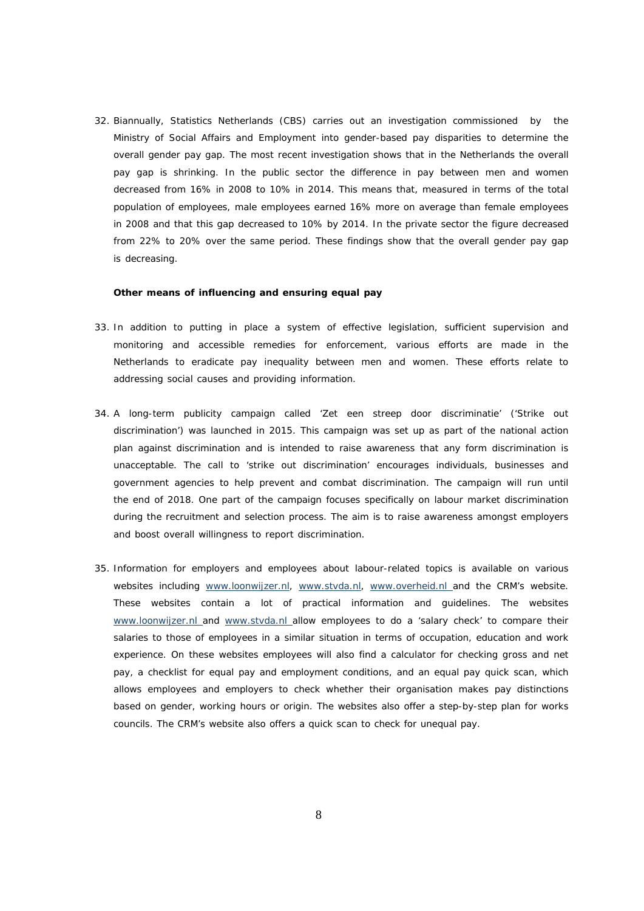32. Biannually, Statistics Netherlands (CBS) carries out an investigation commissioned by the Ministry of Social Affairs and Employment into gender-based pay disparities to determine the overall gender pay gap. The most recent investigation shows that in the Netherlands the overall pay gap is shrinking. In the public sector the difference in pay between men and women decreased from 16% in 2008 to 10% in 2014. This means that, measured in terms of the total population of employees, male employees earned 16% more on average than female employees in 2008 and that this gap decreased to 10% by 2014. In the private sector the figure decreased from 22% to 20% over the same period. These findings show that the overall gender pay gap is decreasing.

*Other means of influencing and ensuring equal pay*

- 33. In addition to putting in place a system of effective legislation, sufficient supervision and monitoring and accessible remedies for enforcement, various efforts are made in the Netherlands to eradicate pay inequality between men and women. These efforts relate to addressing social causes and providing information.
- 34. A long-term publicity campaign called '*Zet een streep door discriminatie*' ('Strike out discrimination') was launched in 2015. This campaign was set up as part of the national action plan against discrimination and is intended to raise awareness that any form discrimination is unacceptable. The call to 'strike out discrimination' encourages individuals, businesses and government agencies to help prevent and combat discrimination. The campaign will run until the end of 2018. One part of the campaign focuses specifically on labour market discrimination during the recruitment and selection process. The aim is to raise awareness amongst employers and boost overall willingness to report discrimination.
- 35. Information for employers and employees about labour-related topics is available on various websites including [www.loonwijzer.nl,](http://www.loonwijzer.nl/) [www.stvda.nl,](http://www.stvda.nl/) [www.overheid.nl a](http://www.overheid.nl/)nd the CRM's website. These websites contain a lot of practical information and guidelines. The websites [www.loonwijzer.nl](http://www.loonwijzer.nl/) and [www.stvda.nl a](http://www.stvda.nl/)llow employees to do a 'salary check' to compare their salaries to those of employees in a similar situation in terms of occupation, education and work experience. On these websites employees will also find a calculator for checking gross and net pay, a checklist for equal pay and employment conditions, and an equal pay quick scan, which allows employees and employers to check whether their organisation makes pay distinctions based on gender, working hours or origin. The websites also offer a step-by-step plan for works councils. The CRM's website also offers a quick scan to check for unequal pay.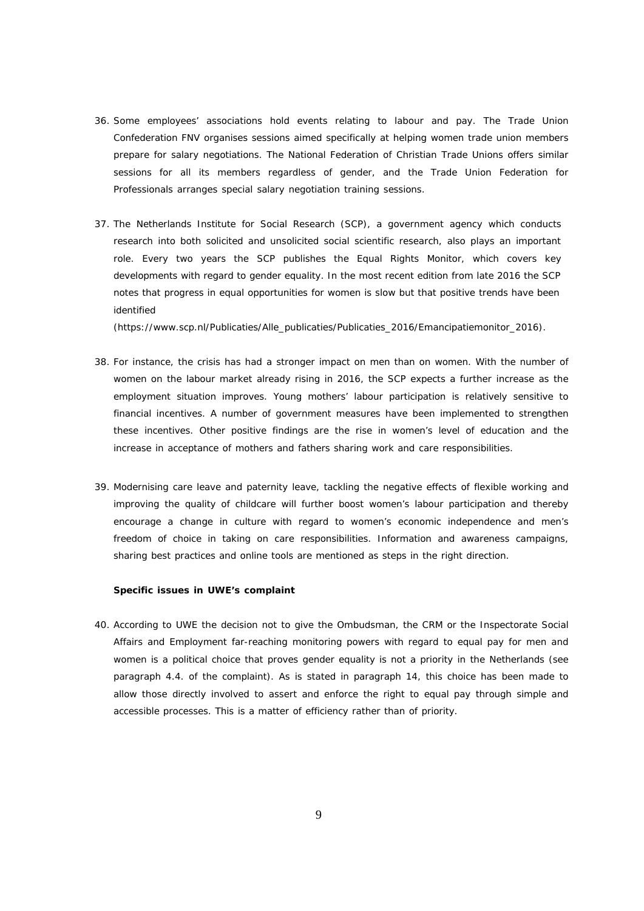- 36. Some employees' associations hold events relating to labour and pay. The Trade Union Confederation FNV organises sessions aimed specifically at helping women trade union members prepare for salary negotiations. The National Federation of Christian Trade Unions offers similar sessions for all its members regardless of gender, and the Trade Union Federation for Professionals arranges special salary negotiation training sessions.
- 37. The Netherlands Institute for Social Research (SCP), a government agency which conducts research into both solicited and unsolicited social scientific research, also plays an important role. Every two years the SCP publishes the Equal Rights Monitor, which covers key developments with regard to gender equality. In the most recent edition from late 2016 the SCP notes that progress in equal opportunities for women is slow but that positive trends have been identified

(htt[ps://www.](http://www.scp.nl/Publicaties/Alle_publicaties/Publicaties_2016/Emancipatiemonitor_2016))scp.[nl/Publicaties/Alle\\_publicaties/Publicaties\\_2016/Emancipatiemonitor\\_2016\).](http://www.scp.nl/Publicaties/Alle_publicaties/Publicaties_2016/Emancipatiemonitor_2016))

- 38. For instance, the crisis has had a stronger impact on men than on women. With the number of women on the labour market already rising in 2016, the SCP expects a further increase as the employment situation improves. Young mothers' labour participation is relatively sensitive to financial incentives. A number of government measures have been implemented to strengthen these incentives. Other positive findings are the rise in women's level of education and the increase in acceptance of mothers and fathers sharing work and care responsibilities.
- 39. Modernising care leave and paternity leave, tackling the negative effects of flexible working and improving the quality of childcare will further boost women's labour participation and thereby encourage a change in culture with regard to women's economic independence and men's freedom of choice in taking on care responsibilities. Information and awareness campaigns, sharing best practices and online tools are mentioned as steps in the right direction.

### *Specific issues in UWE's complaint*

40. According to UWE the decision not to give the Ombudsman, the CRM or the Inspectorate Social Affairs and Employment far-reaching monitoring powers with regard to equal pay for men and women is a political choice that proves gender equality is not a priority in the Netherlands (see paragraph 4.4. of the complaint). As is stated in paragraph 14, this choice has been made to allow those directly involved to assert and enforce the right to equal pay through simple and accessible processes. This is a matter of efficiency rather than of priority.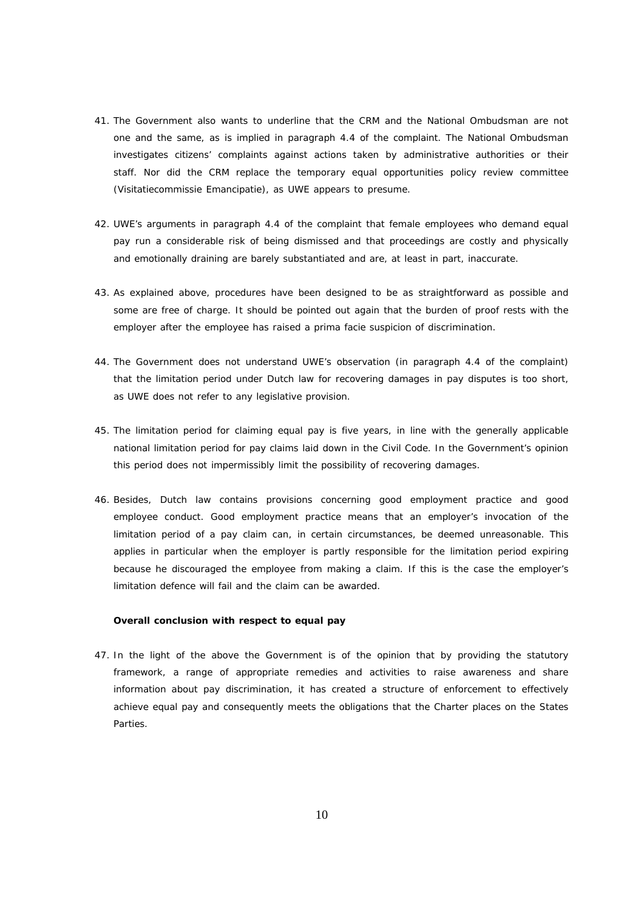- 41. The Government also wants to underline that the CRM and the National Ombudsman are not one and the same, as is implied in paragraph 4.4 of the complaint. The National Ombudsman investigates citizens' complaints against actions taken by administrative authorities or their staff. Nor did the CRM replace the temporary equal opportunities policy review committee (*Visitatiecommissie Emancipatie*), as UWE appears to presume.
- 42. UWE's arguments in paragraph 4.4 of the complaint that female employees who demand equal pay run a considerable risk of being dismissed and that proceedings are costly and physically and emotionally draining are barely substantiated and are, at least in part, inaccurate.
- 43. As explained above, procedures have been designed to be as straightforward as possible and some are free of charge. It should be pointed out again that the burden of proof rests with the employer after the employee has raised a prima facie suspicion of discrimination.
- 44. The Government does not understand UWE's observation (in paragraph 4.4 of the complaint) that the limitation period under Dutch law for recovering damages in pay disputes is too short, as UWE does not refer to any legislative provision.
- 45. The limitation period for claiming equal pay is five years, in line with the generally applicable national limitation period for pay claims laid down in the Civil Code. In the Government's opinion this period does not impermissibly limit the possibility of recovering damages.
- 46. Besides, Dutch law contains provisions concerning good employment practice and good employee conduct. Good employment practice means that an employer's invocation of the limitation period of a pay claim can, in certain circumstances, be deemed unreasonable. This applies in particular when the employer is partly responsible for the limitation period expiring because he discouraged the employee from making a claim. If this is the case the employer's limitation defence will fail and the claim can be awarded.

# *Overall conclusion with respect to equal pay*

47. In the light of the above the Government is of the opinion that by providing the statutory framework, a range of appropriate remedies and activities to raise awareness and share information about pay discrimination, it has created a structure of enforcement to effectively achieve equal pay and consequently meets the obligations that the Charter places on the States Parties.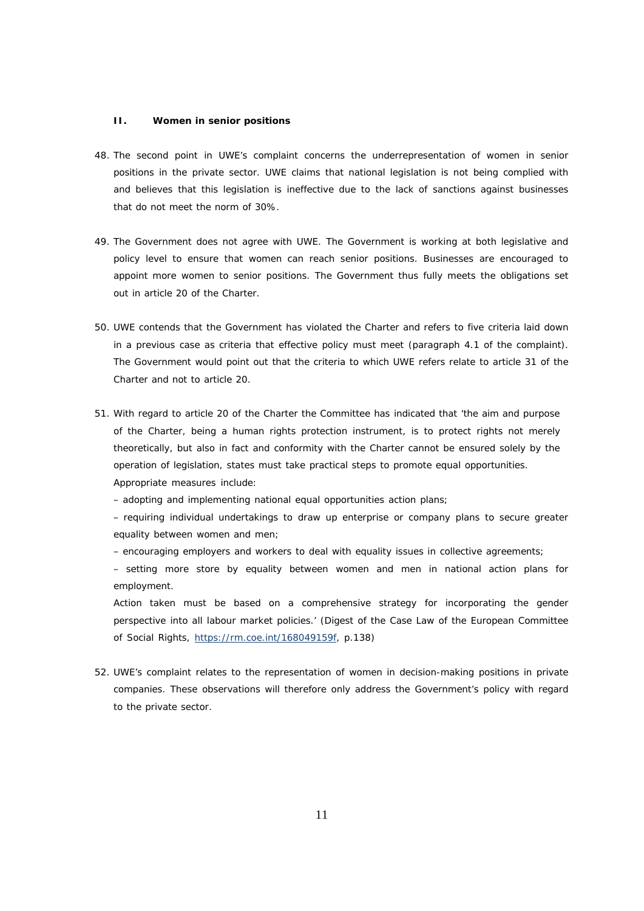#### **II. Women in senior positions**

- 48. The second point in UWE's complaint concerns the underrepresentation of women in senior positions in the private sector. UWE claims that national legislation is not being complied with and believes that this legislation is ineffective due to the lack of sanctions against businesses that do not meet the norm of 30%.
- 49. The Government does not agree with UWE. The Government is working at both legislative and policy level to ensure that women can reach senior positions. Businesses are encouraged to appoint more women to senior positions. The Government thus fully meets the obligations set out in article 20 of the Charter.
- 50. UWE contends that the Government has violated the Charter and refers to five criteria laid down in a previous case as criteria that effective policy must meet (paragraph 4.1 of the complaint). The Government would point out that the criteria to which UWE refers relate to article 31 of the Charter and not to article 20.
- 51. With regard to article 20 of the Charter the Committee has indicated that 'the aim and purpose of the Charter, being a human rights protection instrument, is to protect rights not merely theoretically, but also in fact and conformity with the Charter cannot be ensured solely by the operation of legislation, states must take practical steps to promote equal opportunities. Appropriate measures include:

– adopting and implementing national equal opportunities action plans;

– requiring individual undertakings to draw up enterprise or company plans to secure greater equality between women and men;

– encouraging employers and workers to deal with equality issues in collective agreements;

– setting more store by equality between women and men in national action plans for employment.

Action taken must be based on a comprehensive strategy for incorporating the gender perspective into all labour market policies.' (Digest of the Case Law of the European Committee of Social Rights, https://rm.coe.int/168049159f, p.138)

52. UWE's complaint relates to the representation of women in decision-making positions in private companies. These observations will therefore only address the Government's policy with regard to the private sector.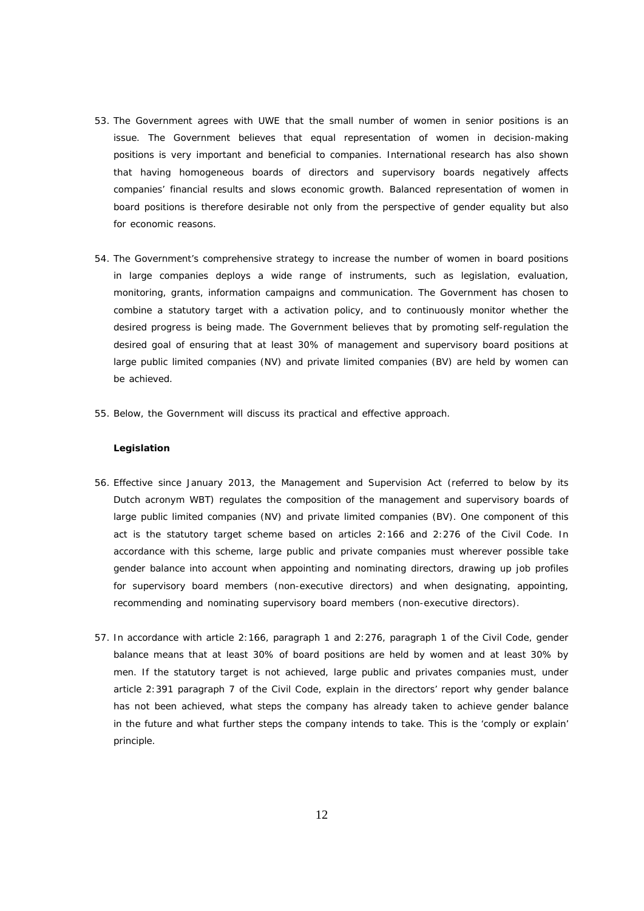- 53. The Government agrees with UWE that the small number of women in senior positions is an issue. The Government believes that equal representation of women in decision-making positions is very important and beneficial to companies. International research has also shown that having homogeneous boards of directors and supervisory boards negatively affects companies' financial results and slows economic growth. Balanced representation of women in board positions is therefore desirable not only from the perspective of gender equality but also for economic reasons.
- 54. The Government's comprehensive strategy to increase the number of women in board positions in large companies deploys a wide range of instruments, such as legislation, evaluation, monitoring, grants, information campaigns and communication. The Government has chosen to combine a statutory target with a activation policy, and to continuously monitor whether the desired progress is being made. The Government believes that by promoting self-regulation the desired goal of ensuring that at least 30% of management and supervisory board positions at large public limited companies (NV) and private limited companies (BV) are held by women can be achieved.
- 55. Below, the Government will discuss its practical and effective approach.

#### *Legislation*

- 56. Effective since January 2013, the Management and Supervision Act (referred to below by its Dutch acronym WBT) regulates the composition of the management and supervisory boards of large public limited companies (NV) and private limited companies (BV). One component of this act is the statutory target scheme based on articles 2:166 and 2:276 of the Civil Code. In accordance with this scheme, large public and private companies must wherever possible take gender balance into account when appointing and nominating directors, drawing up job profiles for supervisory board members (non-executive directors) and when designating, appointing, recommending and nominating supervisory board members (non-executive directors).
- 57. In accordance with article 2:166, paragraph 1 and 2:276, paragraph 1 of the Civil Code, gender balance means that at least 30% of board positions are held by women and at least 30% by men. If the statutory target is not achieved, large public and privates companies must, under article 2:391 paragraph 7 of the Civil Code, explain in the directors' report why gender balance has not been achieved, what steps the company has already taken to achieve gender balance in the future and what further steps the company intends to take. This is the 'comply or explain' principle.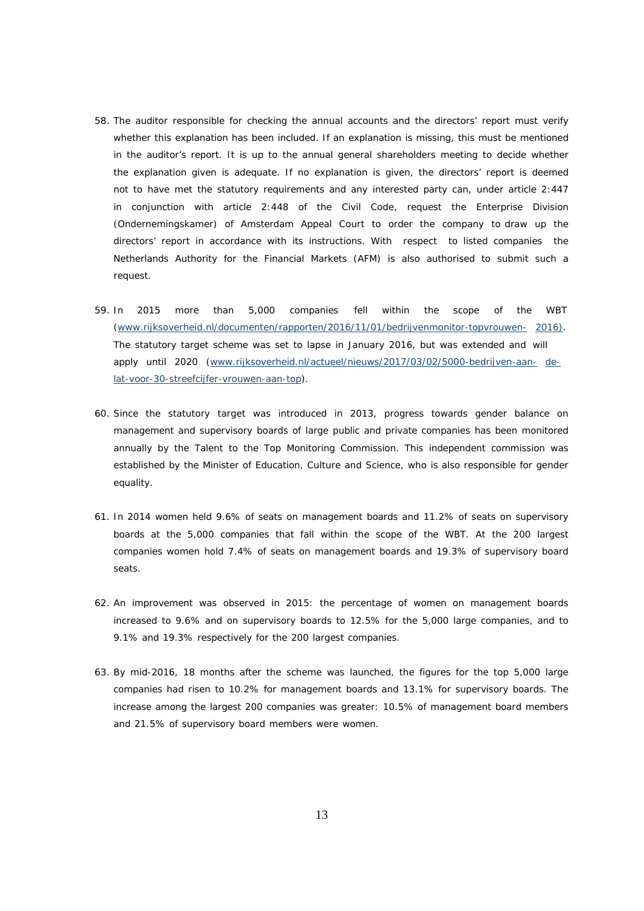- 58. The auditor responsible for checking the annual accounts and the directors' report must verify whether this explanation has been included. If an explanation is missing, this must be mentioned in the auditor's report. It is up to the annual general shareholders meeting to decide whether the explanation given is adequate. If no explanation is given, the directors' report is deemed not to have met the statutory requirements and any interested party can, under article 2:447 in conjunction with article 2:448 of the Civil Code, request the Enterprise Division (*Ondernemingskamer*) of Amsterdam Appeal Court to order the company to draw up the directors' report in accordance with its instructions. With respect to listed companies the Netherlands Authority for the Financial Markets (AFM) is also authorised to submit such a request.
- 59. In 2015 more than 5,000 companies fell within the scope of the WBT ([www.rijksoverheid.nl/documenten/rapporten/2016/11/01/bedrijvenmonitor-topvrouwen-](http://www.rijksoverheid.nl/documenten/rapporten/2016/11/01/bedrijvenmonitor-topvrouwen-) 2016). The statutory target scheme was set to lapse in January 2016, but was extended and will apply until 2020 [\(www.rijksoverheid.nl/actueel/nieuws/2017/03/02/5000-bedrijven-aan-](http://www.rijksoverheid.nl/actueel/nieuws/2017/03/02/5000-bedrijven-aan-) delat-voor-30-streefcijfer-vrouwen-aan-top).
- 60. Since the statutory target was introduced in 2013, progress towards gender balance on management and supervisory boards of large public and private companies has been monitored annually by the Talent to the Top Monitoring Commission. This independent commission was established by the Minister of Education, Culture and Science, who is also responsible for gender equality.
- 61. In 2014 women held 9.6% of seats on management boards and 11.2% of seats on supervisory boards at the 5,000 companies that fall within the scope of the WBT. At the 200 largest companies women hold 7.4% of seats on management boards and 19.3% of supervisory board seats.
- 62. An improvement was observed in 2015: the percentage of women on management boards increased to 9.6% and on supervisory boards to 12.5% for the 5,000 large companies, and to 9.1% and 19.3% respectively for the 200 largest companies.
- 63. By mid-2016, 18 months after the scheme was launched, the figures for the top 5,000 large companies had risen to 10.2% for management boards and 13.1% for supervisory boards. The increase among the largest 200 companies was greater: 10.5% of management board members and 21.5% of supervisory board members were women.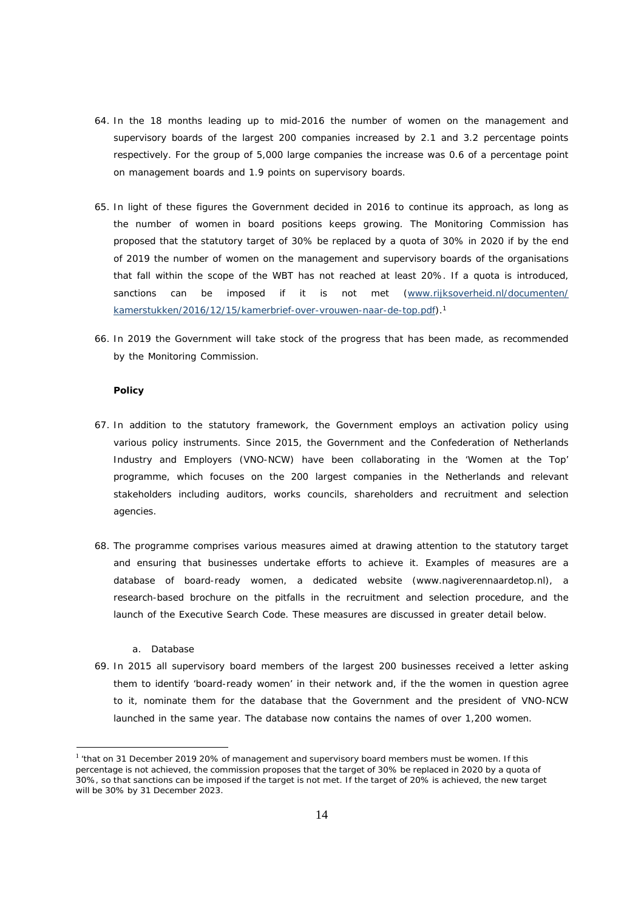- 64. In the 18 months leading up to mid-2016 the number of women on the management and supervisory boards of the largest 200 companies increased by 2.1 and 3.2 percentage points respectively. For the group of 5,000 large companies the increase was 0.6 of a percentage point on management boards and 1.9 points on supervisory boards.
- 65. In light of these figures the Government decided in 2016 to continue its approach, as long as the number of women in board positions keeps growing. The Monitoring Commission has proposed that the statutory target of 30% be replaced by a quota of 30% in 2020 if by the end of 2019 the number of women on the management and supervisory boards of the organisations that fall within the scope of the WBT has not reached at least 20%. If a quota is introduced, sanctions can be imposed if it is not met [\(www.rijksoverheid.nl/documenten/](http://www.rijksoverheid.nl/documenten/) kamerstukken/2016/12/15/kamerbrief-over-vrouwen-naar-de-top.pdf).<sup>1</sup>
- 66. In 2019 the Government will take stock of the progress that has been made, as recommended by the Monitoring Commission.

#### *Policy*

- 67. In addition to the statutory framework, the Government employs an activation policy using various policy instruments. Since 2015, the Government and the Confederation of Netherlands Industry and Employers (VNO-NCW) have been collaborating in the 'Women at the Top' programme, which focuses on the 200 largest companies in the Netherlands and relevant stakeholders including auditors, works councils, shareholders and recruitment and selection agencies.
- 68. The programme comprises various measures aimed at drawing attention to the statutory target and ensuring that businesses undertake efforts to achieve it. Examples of measures are a database of board-ready women, a dedicated website (www.nagiverennaardetop.nl), a research-based brochure on the pitfalls in the recruitment and selection procedure, and the launch of the Executive Search Code. These measures are discussed in greater detail below.
	- *a. Database*
- 69. In 2015 all supervisory board members of the largest 200 businesses received a letter asking them to identify 'board-ready women' in their network and, if the the women in question agree to it, nominate them for the database that the Government and the president of VNO-NCW launched in the same year. The database now contains the names of over 1,200 women.

<sup>&</sup>lt;sup>1</sup> 'that on 31 December 2019 20% of management and supervisory board members must be women. If this percentage is not achieved, the commission proposes that the target of 30% be replaced in 2020 by a quota of 30%, so that sanctions can be imposed if the target is not met. If the target of 20% is achieved, the new target will be 30% by 31 December 2023.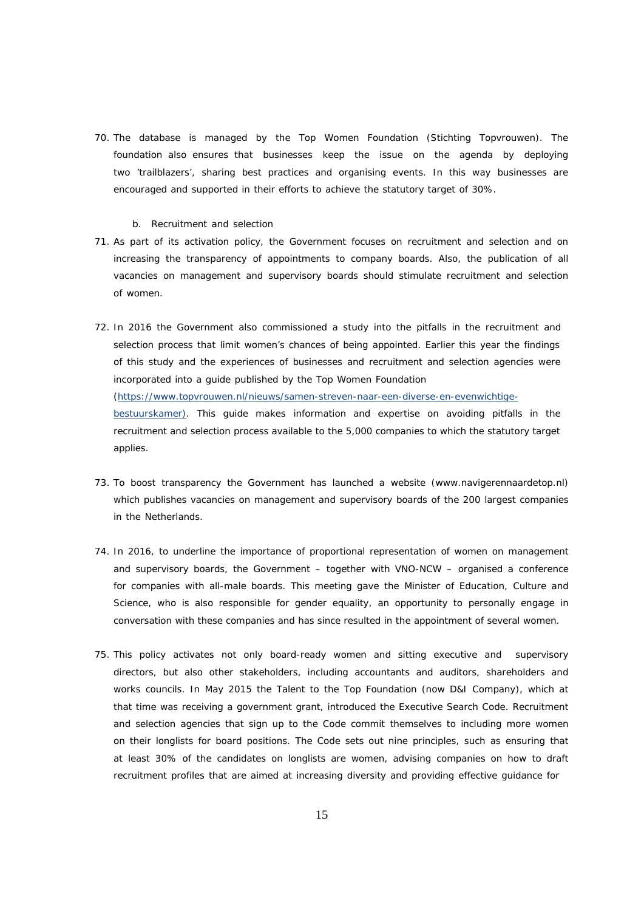70. The database is managed by the Top Women Foundation (*Stichting Topvrouwen*). The foundation also ensures that businesses keep the issue on the agenda by deploying two 'trailblazers', sharing best practices and organising events. In this way businesses are encouraged and supported in their efforts to achieve the statutory target of 30%.

#### *b. Recruitment and selection*

- 71. As part of its activation policy, the Government focuses on recruitment and selection and on increasing the transparency of appointments to company boards. Also, the publication of all vacancies on management and supervisory boards should stimulate recruitment and selection of women.
- 72. In 2016 the Government also commissioned a study into the pitfalls in the recruitment and selection process that limit women's chances of being appointed. Earlier this year the findings of this study and the experiences of businesses and recruitment and selection agencies were incorporated into a guide published by the Top Women Foundation (htt[ps://www](http://www.topvrouwen.nl/nieuws/samen-streven-naar-een-diverse-en-evenwichtige-).t[opvrouwen.nl/nieuws/samen-streven-naar-een-diverse-en-evenwichtige](http://www.topvrouwen.nl/nieuws/samen-streven-naar-een-diverse-en-evenwichtige-)bestuurskamer). This guide makes information and expertise on avoiding pitfalls in the recruitment and selection process available to the 5,000 companies to which the statutory target applies.
- 73. To boost transparency the Government has launched a website (www.navigerennaardetop.nl) which publishes vacancies on management and supervisory boards of the 200 largest companies in the Netherlands.
- 74. In 2016, to underline the importance of proportional representation of women on management and supervisory boards, the Government – together with VNO-NCW – organised a conference for companies with all-male boards. This meeting gave the Minister of Education, Culture and Science, who is also responsible for gender equality, an opportunity to personally engage in conversation with these companies and has since resulted in the appointment of several women.
- 75. This policy activates not only board-ready women and sitting executive and supervisory directors, but also other stakeholders, including accountants and auditors, shareholders and works councils. In May 2015 the Talent to the Top Foundation (now D&I Company), which at that time was receiving a government grant, introduced the Executive Search Code. Recruitment and selection agencies that sign up to the Code commit themselves to including more women on their longlists for board positions. The Code sets out nine principles, such as ensuring that at least 30% of the candidates on longlists are women, advising companies on how to draft recruitment profiles that are aimed at increasing diversity and providing effective guidance for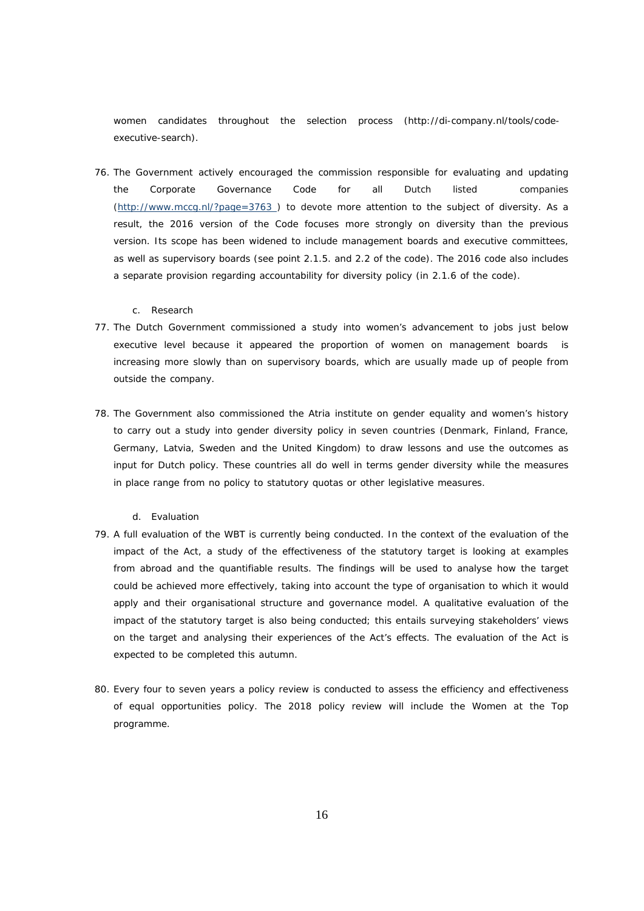women candidates throughout the selection process [\(http://di-company.nl/tools/code](http://di-company.nl/tools/code-)executive-search).

76. The Government actively encouraged the commission responsible for evaluating and updating the Corporate Governance Code for all Dutch listed companies (<http://www.mccg.nl/?page=3763>) to devote more attention to the subject of diversity. As a result, the 2016 version of the Code focuses more strongly on diversity than the previous version. Its scope has been widened to include management boards and executive committees, as well as supervisory boards (see point 2.1.5. and 2.2 of the code). The 2016 code also includes a separate provision regarding accountability for diversity policy (in 2.1.6 of the code).

#### *c. Research*

- 77. The Dutch Government commissioned a study into women's advancement to jobs just below executive level because it appeared the proportion of women on management boards is increasing more slowly than on supervisory boards, which are usually made up of people from outside the company.
- 78. The Government also commissioned the Atria institute on gender equality and women's history to carry out a study into gender diversity policy in seven countries (Denmark, Finland, France, Germany, Latvia, Sweden and the United Kingdom) to draw lessons and use the outcomes as input for Dutch policy. These countries all do well in terms gender diversity while the measures in place range from no policy to statutory quotas or other legislative measures.

### *d. Evaluation*

- 79. A full evaluation of the WBT is currently being conducted. In the context of the evaluation of the impact of the Act, a study of the effectiveness of the statutory target is looking at examples from abroad and the quantifiable results. The findings will be used to analyse how the target could be achieved more effectively, taking into account the type of organisation to which it would apply and their organisational structure and governance model. A qualitative evaluation of the impact of the statutory target is also being conducted; this entails surveying stakeholders' views on the target and analysing their experiences of the Act's effects. The evaluation of the Act is expected to be completed this autumn.
- 80. Every four to seven years a policy review is conducted to assess the efficiency and effectiveness of equal opportunities policy. The 2018 policy review will include the Women at the Top programme.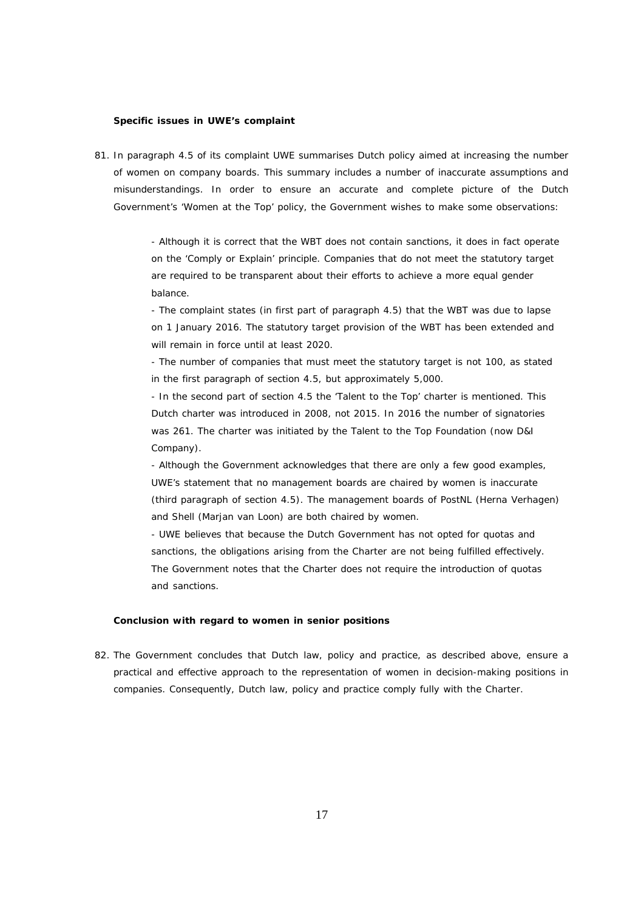#### *Specific issues in UWE's complaint*

81. In paragraph 4.5 of its complaint UWE summarises Dutch policy aimed at increasing the number of women on company boards. This summary includes a number of inaccurate assumptions and misunderstandings. In order to ensure an accurate and complete picture of the Dutch Government's 'Women at the Top' policy, the Government wishes to make some observations:

> - Although it is correct that the WBT does not contain sanctions, it does in fact operate on the 'Comply or Explain' principle. Companies that do not meet the statutory target are required to be transparent about their efforts to achieve a more equal gender balance.

- The complaint states (in first part of paragraph 4.5) that the WBT was due to lapse on 1 January 2016. The statutory target provision of the WBT has been extended and will remain in force until at least 2020.

- The number of companies that must meet the statutory target is not 100, as stated in the first paragraph of section 4.5, but approximately 5,000.

- In the second part of section 4.5 the 'Talent to the Top' charter is mentioned. This Dutch charter was introduced in 2008, not 2015. In 2016 the number of signatories was 261. The charter was initiated by the Talent to the Top Foundation (now D&I Company).

- Although the Government acknowledges that there are only a few good examples, UWE's statement that no management boards are chaired by women is inaccurate (third paragraph of section 4.5). The management boards of PostNL (Herna Verhagen) and Shell (Marjan van Loon) are both chaired by women.

- UWE believes that because the Dutch Government has not opted for quotas and sanctions, the obligations arising from the Charter are not being fulfilled effectively. The Government notes that the Charter does not require the introduction of quotas and sanctions.

## *Conclusion with regard to women in senior positions*

82. The Government concludes that Dutch law, policy and practice, as described above, ensure a practical and effective approach to the representation of women in decision-making positions in companies. Consequently, Dutch law, policy and practice comply fully with the Charter.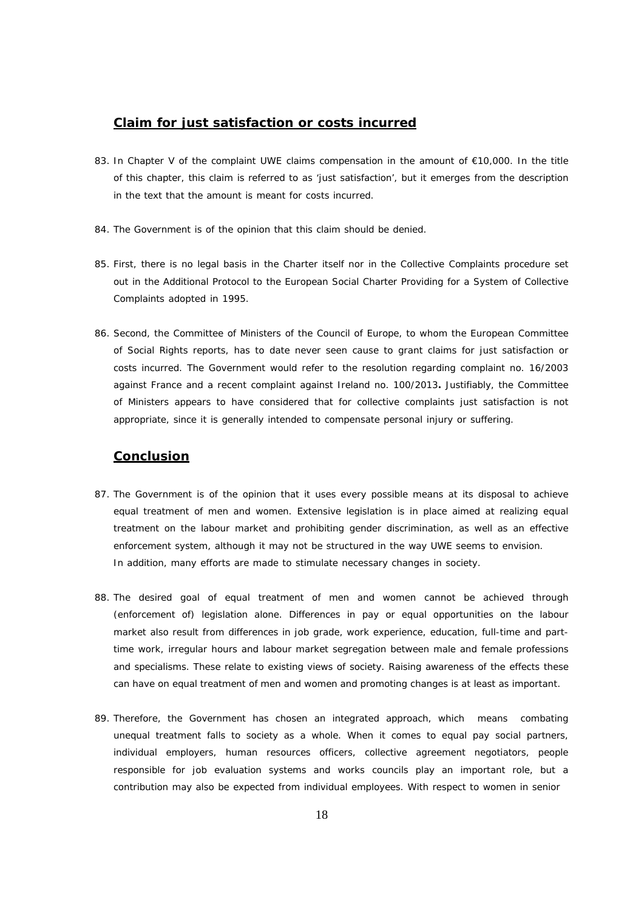# **Claim for just satisfaction or costs incurred**

- 83. In Chapter V of the complaint UWE claims compensation in the amount of €10,000. In the title of this chapter, this claim is referred to as 'just satisfaction', but it emerges from the description in the text that the amount is meant for costs incurred.
- 84. The Government is of the opinion that this claim should be denied.
- 85. First, there is no legal basis in the Charter itself nor in the Collective Complaints procedure set out in the Additional Protocol to the European Social Charter Providing for a System of Collective Complaints adopted in 1995.
- 86. Second, the Committee of Ministers of the Council of Europe, to whom the European Committee of Social Rights reports, has to date never seen cause to grant claims for just satisfaction or costs incurred. The Government would refer to the resolution regarding complaint no. 16/2003 against France and a recent complaint against Ireland no. 100/2013**.** Justifiably, the Committee of Ministers appears to have considered that for collective complaints just satisfaction is not appropriate, since it is generally intended to compensate personal injury or suffering.

## **Conclusion**

- 87. The Government is of the opinion that it uses every possible means at its disposal to achieve equal treatment of men and women. Extensive legislation is in place aimed at realizing equal treatment on the labour market and prohibiting gender discrimination, as well as an effective enforcement system, although it may not be structured in the way UWE seems to envision. In addition, many efforts are made to stimulate necessary changes in society.
- 88. The desired goal of equal treatment of men and women cannot be achieved through (enforcement of) legislation alone. Differences in pay or equal opportunities on the labour market also result from differences in job grade, work experience, education, full-time and parttime work, irregular hours and labour market segregation between male and female professions and specialisms. These relate to existing views of society. Raising awareness of the effects these can have on equal treatment of men and women and promoting changes is at least as important.
- 89. Therefore, the Government has chosen an integrated approach, which means combating unequal treatment falls to society as a whole. When it comes to equal pay social partners, individual employers, human resources officers, collective agreement negotiators, people responsible for job evaluation systems and works councils play an important role, but a contribution may also be expected from individual employees. With respect to women in senior